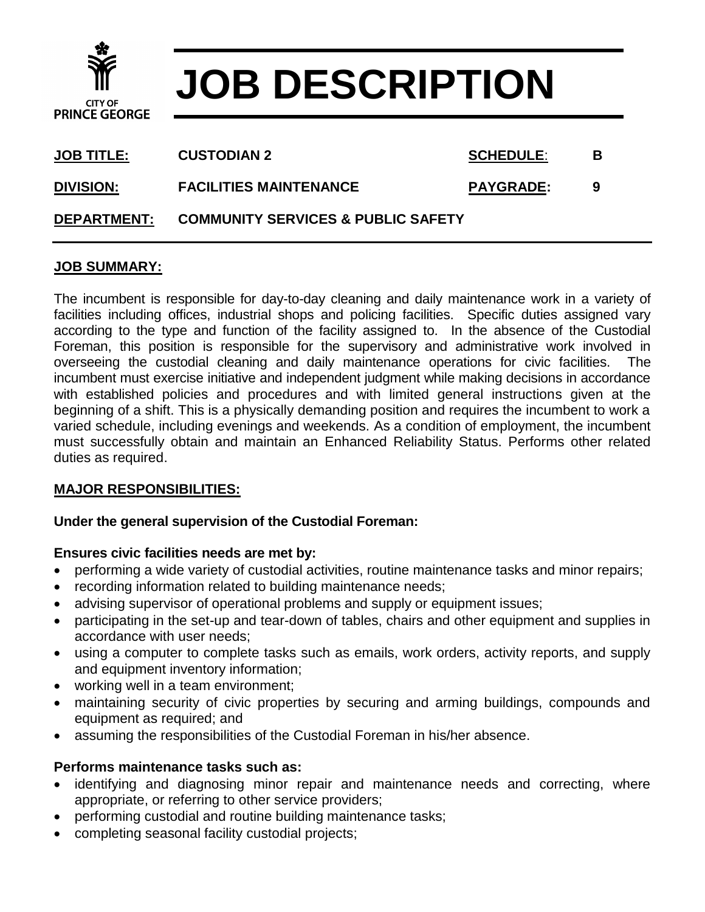

# **JOB DESCRIPTION**

| <b>JOB TITLE:</b>  | <b>CUSTODIAN 2</b>                            | <b>SCHEDULE:</b> | в |
|--------------------|-----------------------------------------------|------------------|---|
| <b>DIVISION:</b>   | <b>FACILITIES MAINTENANCE</b>                 | <b>PAYGRADE:</b> | 9 |
| <b>DEPARTMENT:</b> | <b>COMMUNITY SERVICES &amp; PUBLIC SAFETY</b> |                  |   |

### **JOB SUMMARY:**

The incumbent is responsible for day-to-day cleaning and daily maintenance work in a variety of facilities including offices, industrial shops and policing facilities. Specific duties assigned vary according to the type and function of the facility assigned to. In the absence of the Custodial Foreman, this position is responsible for the supervisory and administrative work involved in overseeing the custodial cleaning and daily maintenance operations for civic facilities. The incumbent must exercise initiative and independent judgment while making decisions in accordance with established policies and procedures and with limited general instructions given at the beginning of a shift. This is a physically demanding position and requires the incumbent to work a varied schedule, including evenings and weekends. As a condition of employment, the incumbent must successfully obtain and maintain an Enhanced Reliability Status. Performs other related duties as required.

### **MAJOR RESPONSIBILITIES:**

#### **Under the general supervision of the Custodial Foreman:**

#### **Ensures civic facilities needs are met by:**

- performing a wide variety of custodial activities, routine maintenance tasks and minor repairs;
- recording information related to building maintenance needs;
- advising supervisor of operational problems and supply or equipment issues;
- participating in the set-up and tear-down of tables, chairs and other equipment and supplies in accordance with user needs;
- using a computer to complete tasks such as emails, work orders, activity reports, and supply and equipment inventory information;
- working well in a team environment;
- maintaining security of civic properties by securing and arming buildings, compounds and equipment as required; and
- assuming the responsibilities of the Custodial Foreman in his/her absence.

### **Performs maintenance tasks such as:**

- identifying and diagnosing minor repair and maintenance needs and correcting, where appropriate, or referring to other service providers;
- performing custodial and routine building maintenance tasks;
- completing seasonal facility custodial projects;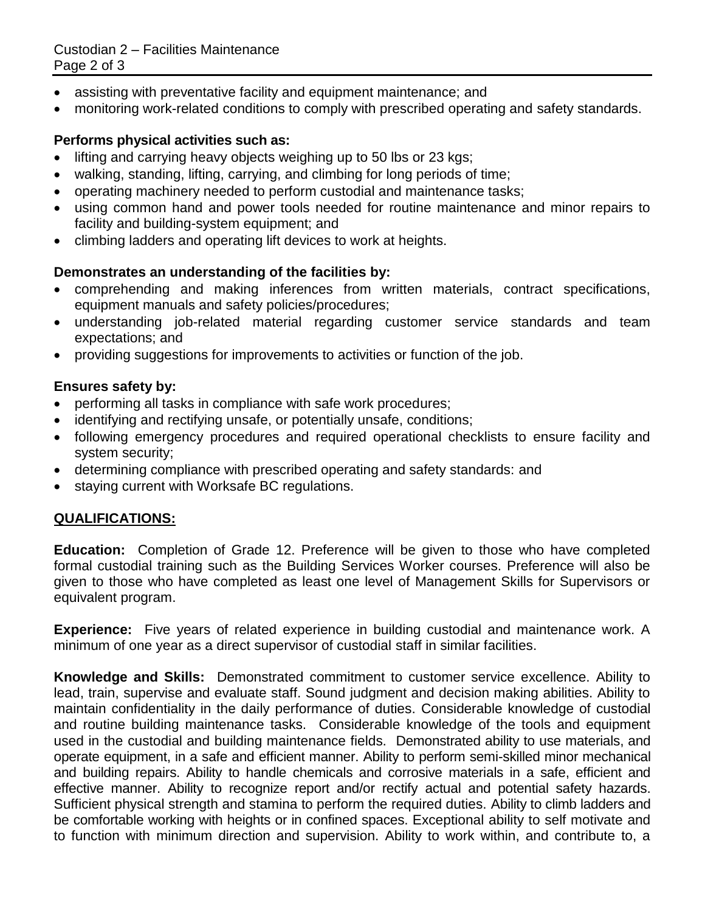Custodian 2 – Facilities Maintenance Page 2 of 3

- assisting with preventative facility and equipment maintenance; and
- monitoring work-related conditions to comply with prescribed operating and safety standards.

# **Performs physical activities such as:**

- lifting and carrying heavy objects weighing up to 50 lbs or 23 kgs;
- walking, standing, lifting, carrying, and climbing for long periods of time;
- operating machinery needed to perform custodial and maintenance tasks;
- using common hand and power tools needed for routine maintenance and minor repairs to facility and building-system equipment; and
- climbing ladders and operating lift devices to work at heights.

## **Demonstrates an understanding of the facilities by:**

- comprehending and making inferences from written materials, contract specifications, equipment manuals and safety policies/procedures;
- understanding job-related material regarding customer service standards and team expectations; and
- providing suggestions for improvements to activities or function of the job.

### **Ensures safety by:**

- performing all tasks in compliance with safe work procedures;
- identifying and rectifying unsafe, or potentially unsafe, conditions;
- following emergency procedures and required operational checklists to ensure facility and system security;
- determining compliance with prescribed operating and safety standards: and
- staying current with Worksafe BC regulations.

# **QUALIFICATIONS:**

**Education:** Completion of Grade 12. Preference will be given to those who have completed formal custodial training such as the Building Services Worker courses. Preference will also be given to those who have completed as least one level of Management Skills for Supervisors or equivalent program.

**Experience:** Five years of related experience in building custodial and maintenance work. A minimum of one year as a direct supervisor of custodial staff in similar facilities.

**Knowledge and Skills:** Demonstrated commitment to customer service excellence. Ability to lead, train, supervise and evaluate staff. Sound judgment and decision making abilities. Ability to maintain confidentiality in the daily performance of duties. Considerable knowledge of custodial and routine building maintenance tasks. Considerable knowledge of the tools and equipment used in the custodial and building maintenance fields. Demonstrated ability to use materials, and operate equipment, in a safe and efficient manner. Ability to perform semi-skilled minor mechanical and building repairs. Ability to handle chemicals and corrosive materials in a safe, efficient and effective manner. Ability to recognize report and/or rectify actual and potential safety hazards. Sufficient physical strength and stamina to perform the required duties. Ability to climb ladders and be comfortable working with heights or in confined spaces. Exceptional ability to self motivate and to function with minimum direction and supervision. Ability to work within, and contribute to, a